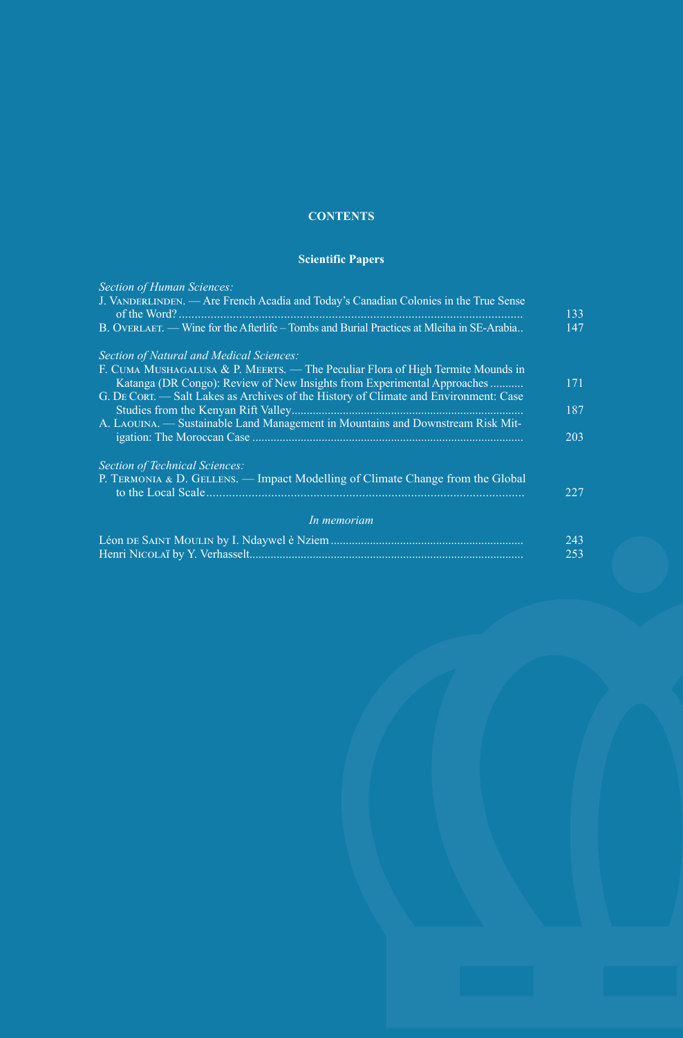## **CONTENTS**

## **Scientific Papers**

| <b>Section of Human Sciences:</b>                                                                                                                          |     |
|------------------------------------------------------------------------------------------------------------------------------------------------------------|-----|
| J. VANDERLINDEN. — Are French Acadia and Today's Canadian Colonies in the True Sense                                                                       | 133 |
| B. OVERLAET. — Wine for the Afterlife – Tombs and Burial Practices at Mleiha in SE-Arabia                                                                  | 147 |
| Section of Natural and Medical Sciences:                                                                                                                   |     |
| F. CUMA MUSHAGALUSA & P. MEERTS. — The Peculiar Flora of High Termite Mounds in<br>Katanga (DR Congo): Review of New Insights from Experimental Approaches | 171 |
| G. DE CORT. — Salt Lakes as Archives of the History of Climate and Environment: Case                                                                       | 187 |
| A. LAOUINA. - Sustainable Land Management in Mountains and Downstream Risk Mit-                                                                            | 203 |
| <b>Section of Technical Sciences:</b>                                                                                                                      |     |
| P. TERMONIA & D. GELLENS. — Impact Modelling of Climate Change from the Global                                                                             | 227 |
| In memoriam                                                                                                                                                |     |
|                                                                                                                                                            | 243 |
|                                                                                                                                                            | 253 |